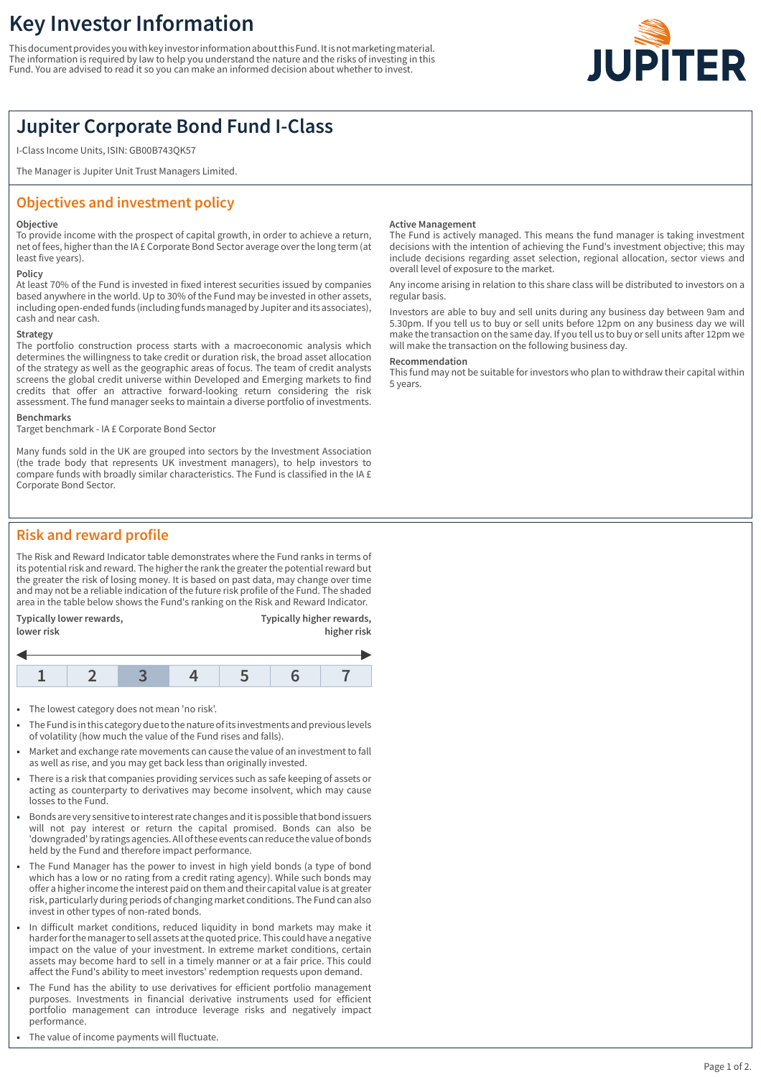# **Key Investor Information**

This document provides you with key investor information about this Fund. It is not marketing material. The information is required by law to help you understand the nature and the risks of investing in this Fund. You are advised to read it so you can make an informed decision about whether to invest.



## **Jupiter Corporate Bond Fund I-Class**

I-Class Income Units, ISIN: GB00B743QK57

The Manager is Jupiter Unit Trust Managers Limited.

## **Objectives and investment policy**

#### **Objective**

To provide income with the prospect of capital growth, in order to achieve a return, net of fees, higher than the IA £ Corporate Bond Sector average over the long term (at least five years).

#### **Policy**

At least 70% of the Fund is invested in fixed interest securities issued by companies based anywhere in the world. Up to 30% of the Fund may be invested in other assets, including open-ended funds (including funds managed by Jupiter and its associates), cash and near cash.

#### **Strategy**

The portfolio construction process starts with a macroeconomic analysis which determines the willingness to take credit or duration risk, the broad asset allocation of the strategy as well as the geographic areas of focus. The team of credit analysts screens the global credit universe within Developed and Emerging markets to find credits that offer an attractive forward-looking return considering the risk assessment. The fund manager seeks to maintain a diverse portfolio of investments.

#### **Benchmarks**

Target benchmark - IA £ Corporate Bond Sector

Many funds sold in the UK are grouped into sectors by the Investment Association (the trade body that represents UK investment managers), to help investors to compare funds with broadly similar characteristics. The Fund is classified in the IA £ Corporate Bond Sector.

#### **Active Management**

The Fund is actively managed. This means the fund manager is taking investment decisions with the intention of achieving the Fund's investment objective; this may include decisions regarding asset selection, regional allocation, sector views and overall level of exposure to the market.

Any income arising in relation to this share class will be distributed to investors on a regular basis.

Investors are able to buy and sell units during any business day between 9am and 5.30pm. If you tell us to buy or sell units before 12pm on any business day we will make the transaction on the same day. If you tell us to buy or sell units after 12pm we will make the transaction on the following business day.

#### **Recommendation**

This fund may not be suitable for investors who plan to withdraw their capital within 5 years.

## **Risk and reward profile**

The Risk and Reward Indicator table demonstrates where the Fund ranks in terms of its potential risk and reward. The higher the rank the greater the potential reward but the greater the risk of losing money. It is based on past data, may change over time and may not be a reliable indication of the future risk profile of the Fund. The shaded area in the table below shows the Fund's ranking on the Risk and Reward Indicator.

| Typically lower rewards, | Typically higher rewards, |  |  |
|--------------------------|---------------------------|--|--|
| lower risk               | higher risk               |  |  |
|                          |                           |  |  |

- 1 The lowest category does not mean 'no risk'.
- 1 The Fund is in this category due to the nature of its investments and previous levels of volatility (how much the value of the Fund rises and falls).
- 1 Market and exchange rate movements can cause the value of an investment to fall as well as rise, and you may get back less than originally invested.
- 1 There is a risk that companies providing services such as safe keeping of assets or acting as counterparty to derivatives may become insolvent, which may cause losses to the Fund.
- 1 Bonds are very sensitive to interest rate changes and it is possible that bond issuers will not pay interest or return the capital promised. Bonds can also be 'downgraded' by ratings agencies. All of these events can reduce the value of bonds held by the Fund and therefore impact performance.
- The Fund Manager has the power to invest in high yield bonds (a type of bond which has a low or no rating from a credit rating agency). While such bonds may offer a higher income the interest paid on them and their capital value is at greater risk, particularly during periods of changing market conditions. The Fund can also invest in other types of non-rated bonds.
- In difficult market conditions, reduced liquidity in bond markets may make it harder for the manager to sell assets at the quoted price. This could have a negative impact on the value of your investment. In extreme market conditions, certain assets may become hard to sell in a timely manner or at a fair price. This could affect the Fund's ability to meet investors' redemption requests upon demand.
- The Fund has the ability to use derivatives for efficient portfolio management purposes. Investments in financial derivative instruments used for efficient portfolio management can introduce leverage risks and negatively impact performance.
- The value of income payments will fluctuate.